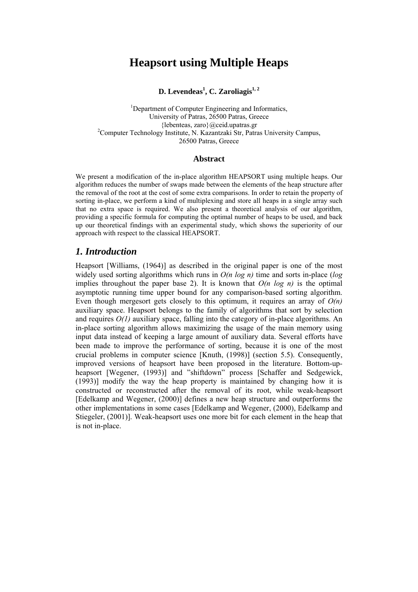# **Heapsort using Multiple Heaps**

**D.** Levendeas<sup>1</sup>, C. Zaroliagis<sup>1, 2</sup>

<sup>1</sup>Department of Computer Engineering and Informatics, University of Patras, 26500 Patras, Greece  ${lebenteas, zaro}$  $@ceid.updateas.gr$ <sup>2</sup>Computer Technology Institute, N. Kazantzaki Str, Patras University Campus, 26500 Patras, Greece

#### **Abstract**

We present a modification of the in-place algorithm HEAPSORT using multiple heaps. Our algorithm reduces the number of swaps made between the elements of the heap structure after the removal of the root at the cost of some extra comparisons. In order to retain the property of sorting in-place, we perform a kind of multiplexing and store all heaps in a single array such that no extra space is required. We also present a theoretical analysis of our algorithm, providing a specific formula for computing the optimal number of heaps to be used, and back up our theoretical findings with an experimental study, which shows the superiority of our approach with respect to the classical HEAPSORT.

## *1. Introduction*

Heapsort [Williams, (1964)] as described in the original paper is one of the most widely used sorting algorithms which runs in *O(n log n)* time and sorts in-place (*log* implies throughout the paper base 2). It is known that  $O(n \log n)$  is the optimal asymptotic running time upper bound for any comparison-based sorting algorithm. Even though mergesort gets closely to this optimum, it requires an array of  $O(n)$ auxiliary space. Heapsort belongs to the family of algorithms that sort by selection and requires *O(1)* auxiliary space, falling into the category of in-place algorithms. An in-place sorting algorithm allows maximizing the usage of the main memory using input data instead of keeping a large amount of auxiliary data. Several efforts have been made to improve the performance of sorting, because it is one of the most crucial problems in computer science [Knuth, (1998)] (section 5.5). Consequently, improved versions of heapsort have been proposed in the literature. Bottom-upheapsort [Wegener, (1993)] and "shiftdown" process [Schaffer and Sedgewick, (1993)] modify the way the heap property is maintained by changing how it is constructed or reconstructed after the removal of its root, while weak-heapsort [Edelkamp and Wegener, (2000)] defines a new heap structure and outperforms the other implementations in some cases [Edelkamp and Wegener, (2000), Edelkamp and Stiegeler, (2001)]. Weak-heapsort uses one more bit for each element in the heap that is not in-place.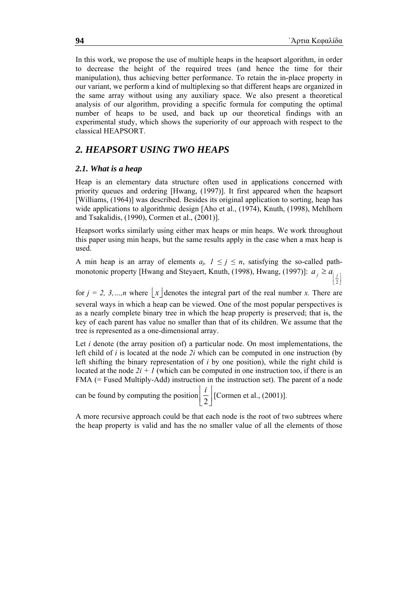In this work, we propose the use of multiple heaps in the heapsort algorithm, in order to decrease the height of the required trees (and hence the time for their manipulation), thus achieving better performance. To retain the in-place property in our variant, we perform a kind of multiplexing so that different heaps are organized in the same array without using any auxiliary space. We also present a theoretical analysis of our algorithm, providing a specific formula for computing the optimal number of heaps to be used, and back up our theoretical findings with an experimental study, which shows the superiority of our approach with respect to the classical HEAPSORT.

## *2. HEAPSORT USING TWO HEAPS*

### *2.1. What is a heap*

Heap is an elementary data structure often used in applications concerned with priority queues and ordering [Hwang, (1997)]. It first appeared when the heapsort [Williams, (1964)] was described. Besides its original application to sorting, heap has wide applications to algorithmic design [Aho et al., (1974), Knuth, (1998), Mehlhorn and Tsakalidis, (1990), Cormen et al., (2001)].

Heapsort works similarly using either max heaps or min heaps. We work throughout this paper using min heaps, but the same results apply in the case when a max heap is used.

A min heap is an array of elements  $a_j$ ,  $1 \le j \le n$ , satisfying the so-called pathmonotonic property [Hwang and Steyaert, Knuth, (1998), Hwang, (1997)]:  $\left\lfloor \frac{j}{2} \right\rfloor$  $\geq a_{\parallel}$ 2  $a_j \ge a_{j}$ 

for  $j = 2, 3, \ldots, n$  where  $\vert x \vert$  denotes the integral part of the real number *x*. There are several ways in which a heap can be viewed. One of the most popular perspectives is

as a nearly complete binary tree in which the heap property is preserved; that is, the key of each parent has value no smaller than that of its children. We assume that the tree is represented as a one-dimensional array.

Let *i* denote (the array position of) a particular node. On most implementations, the left child of *i* is located at the node *2i* which can be computed in one instruction (by left shifting the binary representation of *i* by one position), while the right child is located at the node  $2i + 1$  (which can be computed in one instruction too, if there is an FMA (= Fused Multiply-Add) instruction in the instruction set). The parent of a node

can be found by computing the position  $\left(\frac{i}{2}\right)$  $\mathsf{I}$ 2  $\frac{i}{2}$  [Cormen et al., (2001)].

A more recursive approach could be that each node is the root of two subtrees where the heap property is valid and has the no smaller value of all the elements of those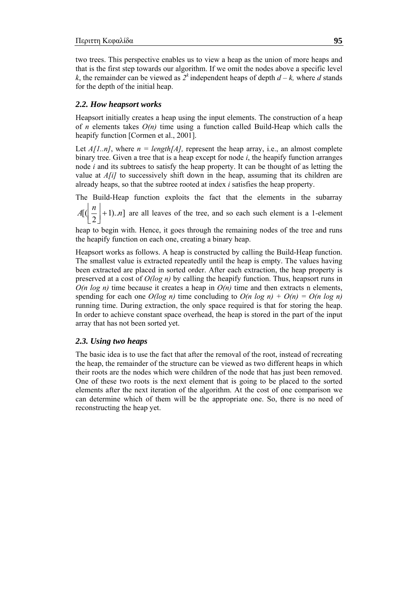two trees. This perspective enables us to view a heap as the union of more heaps and that is the first step towards our algorithm. If we omit the nodes above a specific level *k*, the remainder can be viewed as  $2^k$  independent heaps of depth  $d - k$ , where *d* stands for the depth of the initial heap.

#### *2.2. How heapsort works*

Heapsort initially creates a heap using the input elements. The construction of a heap of *n* elements takes *O(n)* time using a function called Build-Heap which calls the heapify function [Cormen et al., 2001].

Let  $A[1..n]$ , where  $n = length[A]$ , represent the heap array, i.e., an almost complete binary tree. Given a tree that is a heap except for node *i*, the heapify function arranges node *i* and its subtrees to satisfy the heap property. It can be thought of as letting the value at *A[i]* to successively shift down in the heap, assuming that its children are already heaps, so that the subtree rooted at index *i* satisfies the heap property.

The Build-Heap function exploits the fact that the elements in the subarray

 $A\left[\left(\frac{n}{2}\right]+1\right)$ ..*n*]  $\left\lfloor \frac{n}{2} \right\rfloor + 1$ .  $\left\lfloor n \right\rfloor$  are all leaves of the tree, and so each such element is a 1-element

heap to begin with. Hence, it goes through the remaining nodes of the tree and runs the heapify function on each one, creating a binary heap.

Heapsort works as follows. A heap is constructed by calling the Build-Heap function. The smallest value is extracted repeatedly until the heap is empty. The values having been extracted are placed in sorted order. After each extraction, the heap property is preserved at a cost of *O(log n)* by calling the heapify function. Thus, heapsort runs in  $O(n \log n)$  time because it creates a heap in  $O(n)$  time and then extracts n elements, spending for each one  $O(log n)$  time concluding to  $O(n log n) + O(n) = O(n log n)$ running time. During extraction, the only space required is that for storing the heap. In order to achieve constant space overhead, the heap is stored in the part of the input array that has not been sorted yet.

#### *2.3. Using two heaps*

The basic idea is to use the fact that after the removal of the root, instead of recreating the heap, the remainder of the structure can be viewed as two different heaps in which their roots are the nodes which were children of the node that has just been removed. One of these two roots is the next element that is going to be placed to the sorted elements after the next iteration of the algorithm. At the cost of one comparison we can determine which of them will be the appropriate one. So, there is no need of reconstructing the heap yet.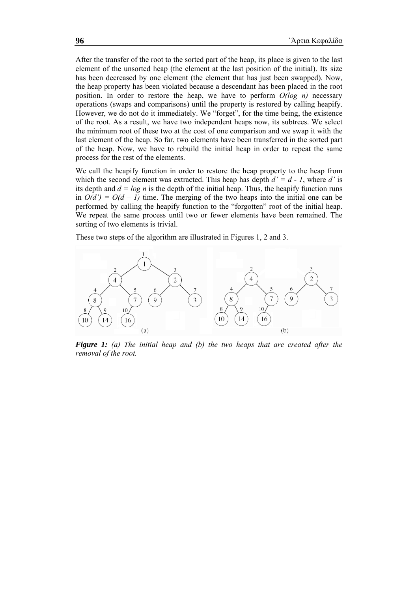After the transfer of the root to the sorted part of the heap, its place is given to the last element of the unsorted heap (the element at the last position of the initial). Its size has been decreased by one element (the element that has just been swapped). Now, the heap property has been violated because a descendant has been placed in the root position. In order to restore the heap, we have to perform *O(log n)* necessary operations (swaps and comparisons) until the property is restored by calling heapify. However, we do not do it immediately. We "forget", for the time being, the existence of the root. As a result, we have two independent heaps now, its subtrees. We select the minimum root of these two at the cost of one comparison and we swap it with the last element of the heap. So far, two elements have been transferred in the sorted part of the heap. Now, we have to rebuild the initial heap in order to repeat the same process for the rest of the elements.

We call the heapify function in order to restore the heap property to the heap from which the second element was extracted. This heap has depth  $d' = d - 1$ , where *d'* is its depth and  $d = log n$  is the depth of the initial heap. Thus, the heapify function runs in  $O(d') = O(d - 1)$  time. The merging of the two heaps into the initial one can be performed by calling the heapify function to the "forgotten" root of the initial heap. We repeat the same process until two or fewer elements have been remained. The sorting of two elements is trivial.

These two steps of the algorithm are illustrated in Figures 1, 2 and 3.



*Figure 1: (a) The initial heap and (b) the two heaps that are created after the removal of the root.*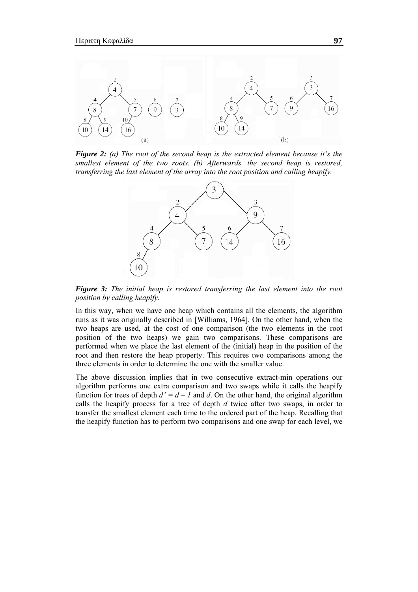

*Figure 2: (a) The root of the second heap is the extracted element because it's the smallest element of the two roots. (b) Afterwards, the second heap is restored, transferring the last element of the array into the root position and calling heapify.* 



*Figure 3: The initial heap is restored transferring the last element into the root position by calling heapify.*

In this way, when we have one heap which contains all the elements, the algorithm runs as it was originally described in [Williams, 1964]. On the other hand, when the two heaps are used, at the cost of one comparison (the two elements in the root position of the two heaps) we gain two comparisons. These comparisons are performed when we place the last element of the (initial) heap in the position of the root and then restore the heap property. This requires two comparisons among the three elements in order to determine the one with the smaller value.

The above discussion implies that in two consecutive extract-min operations our algorithm performs one extra comparison and two swaps while it calls the heapify function for trees of depth  $d' = d - 1$  and d. On the other hand, the original algorithm calls the heapify process for a tree of depth *d* twice after two swaps, in order to transfer the smallest element each time to the ordered part of the heap. Recalling that the heapify function has to perform two comparisons and one swap for each level, we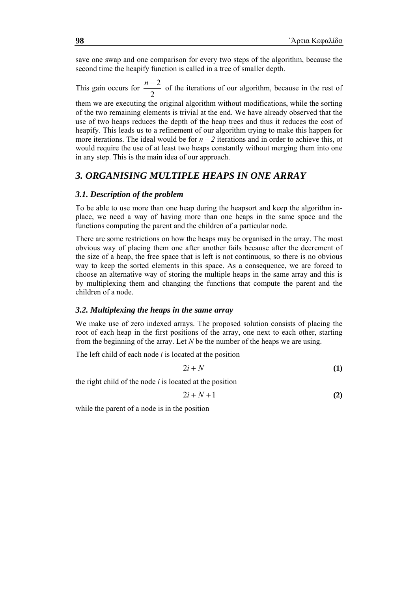save one swap and one comparison for every two steps of the algorithm, because the second time the heapify function is called in a tree of smaller depth.

This gain occurs for  $\frac{n}{2}$  $\frac{n-2}{2}$  of the iterations of our algorithm, because in the rest of

them we are executing the original algorithm without modifications, while the sorting of the two remaining elements is trivial at the end. We have already observed that the use of two heaps reduces the depth of the heap trees and thus it reduces the cost of heapify. This leads us to a refinement of our algorithm trying to make this happen for more iterations. The ideal would be for  $n - 2$  iterations and in order to achieve this, ot would require the use of at least two heaps constantly without merging them into one in any step. This is the main idea of our approach.

## *3. ORGANISING MULTIPLE HEAPS IN ONE ARRAY*

#### *3.1. Description of the problem*

To be able to use more than one heap during the heapsort and keep the algorithm inplace, we need a way of having more than one heaps in the same space and the functions computing the parent and the children of a particular node.

There are some restrictions on how the heaps may be organised in the array. The most obvious way of placing them one after another fails because after the decrement of the size of a heap, the free space that is left is not continuous, so there is no obvious way to keep the sorted elements in this space. As a consequence, we are forced to choose an alternative way of storing the multiple heaps in the same array and this is by multiplexing them and changing the functions that compute the parent and the children of a node.

#### *3.2. Multiplexing the heaps in the same array*

We make use of zero indexed arrays. The proposed solution consists of placing the root of each heap in the first positions of the array, one next to each other, starting from the beginning of the array. Let *N* be the number of the heaps we are using.

The left child of each node *i* is located at the position

$$
2i + N \tag{1}
$$

the right child of the node *i* is located at the position

$$
2i + N + 1 \tag{2}
$$

while the parent of a node is in the position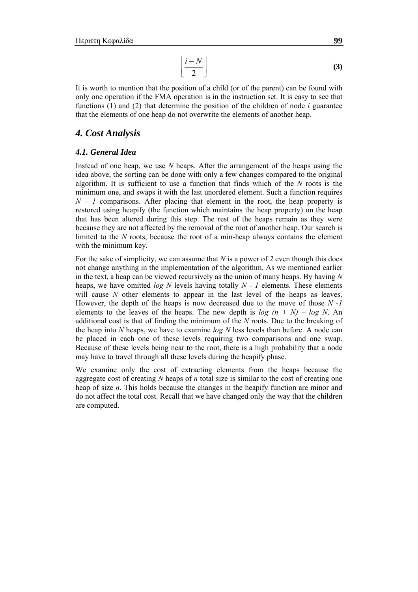$$
\left\lfloor \frac{i-N}{2} \right\rfloor \tag{3}
$$

It is worth to mention that the position of a child (or of the parent) can be found with only one operation if the FMA operation is in the instruction set. It is easy to see that functions  $(1)$  and  $(2)$  that determine the position of the children of node *i* guarantee that the elements of one heap do not overwrite the elements of another heap.

### *4. Cost Analysis*

### *4.1. General Idea*

Instead of one heap, we use *N* heaps. After the arrangement of the heaps using the idea above, the sorting can be done with only a few changes compared to the original algorithm. It is sufficient to use a function that finds which of the *N* roots is the minimum one, and swaps it with the last unordered element. Such a function requires  $N - I$  comparisons. After placing that element in the root, the heap property is restored using heapify (the function which maintains the heap property) on the heap that has been altered during this step. The rest of the heaps remain as they were because they are not affected by the removal of the root of another heap. Our search is limited to the *N* roots, because the root of a min-heap always contains the element with the minimum key.

For the sake of simplicity, we can assume that *N* is a power of *2* even though this does not change anything in the implementation of the algorithm. As we mentioned earlier in the text, a heap can be viewed recursively as the union of many heaps. By having *N* heaps, we have omitted *log N* levels having totally *N - 1* elements. These elements will cause *N* other elements to appear in the last level of the heaps as leaves. However, the depth of the heaps is now decreased due to the move of those *N -1*  elements to the leaves of the heaps. The new depth is  $log (n + N) - log N$ . An additional cost is that of finding the minimum of the *N* roots. Due to the breaking of the heap into *N* heaps, we have to examine *log N* less levels than before. A node can be placed in each one of these levels requiring two comparisons and one swap. Because of these levels being near to the root, there is a high probability that a node may have to travel through all these levels during the heapify phase.

We examine only the cost of extracting elements from the heaps because the aggregate cost of creating *N* heaps of *n* total size is similar to the cost of creating one heap of size *n*. This holds because the changes in the heapify function are minor and do not affect the total cost. Recall that we have changed only the way that the children are computed.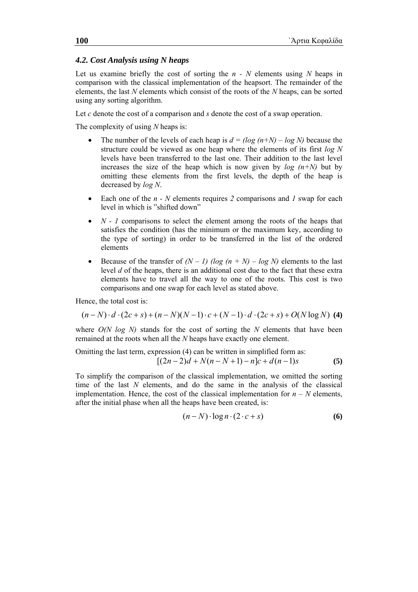### *4.2. Cost Analysis using N heaps*

Let us examine briefly the cost of sorting the *n - N* elements using *N* heaps in comparison with the classical implementation of the heapsort. The remainder of the elements, the last *N* elements which consist of the roots of the *N* heaps, can be sorted using any sorting algorithm.

Let *c* denote the cost of a comparison and *s* denote the cost of a swap operation.

The complexity of using *N* heaps is:

- The number of the levels of each heap is  $d = (log (n+N) log N)$  because the structure could be viewed as one heap where the elements of its first *log N* levels have been transferred to the last one. Their addition to the last level increases the size of the heap which is now given by  $log (n+N)$  but by omitting these elements from the first levels, the depth of the heap is decreased by *log N*.
- Each one of the *n N* elements requires *2* comparisons and *1* swap for each level in which is "shifted down"
- *N 1* comparisons to select the element among the roots of the heaps that satisfies the condition (has the minimum or the maximum key, according to the type of sorting) in order to be transferred in the list of the ordered elements
- Because of the transfer of  $(N 1)$  (log  $(n + N) log N$ ) elements to the last level *d* of the heaps, there is an additional cost due to the fact that these extra elements have to travel all the way to one of the roots. This cost is two comparisons and one swap for each level as stated above.

Hence, the total cost is:

$$
(n-N)\cdot d\cdot (2c+s)+(n-N)(N-1)\cdot c+(N-1)\cdot d\cdot (2c+s)+O(N\log N)
$$
 (4)

where *O(N log N)* stands for the cost of sorting the *N* elements that have been remained at the roots when all the *N* heaps have exactly one element.

Omitting the last term, expression (4) can be written in simplified form as:  

$$
[(2n-2)d + N(n-N+1) - n]c + d(n-1)s
$$
 (5)

To simplify the comparison of the classical implementation, we omitted the sorting time of the last *N* elements, and do the same in the analysis of the classical implementation. Hence, the cost of the classical implementation for  $n - N$  elements, after the initial phase when all the heaps have been created, is:

$$
(n-N)\cdot \log n\cdot (2\cdot c+s) \tag{6}
$$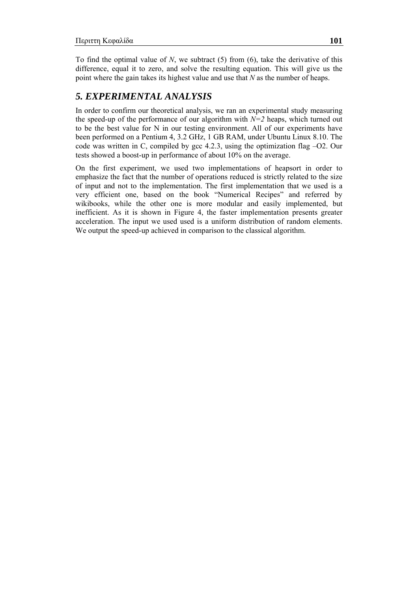To find the optimal value of *N*, we subtract (5) from (6), take the derivative of this difference, equal it to zero, and solve the resulting equation. This will give us the point where the gain takes its highest value and use that *N* as the number of heaps.

## *5. EXPERIMENTAL ANALYSIS*

In order to confirm our theoretical analysis, we ran an experimental study measuring the speed-up of the performance of our algorithm with  $N=2$  heaps, which turned out to be the best value for N in our testing environment. All of our experiments have been performed on a Pentium 4, 3.2 GHz, 1 GB RAM, under Ubuntu Linux 8.10. The code was written in C, compiled by gcc 4.2.3, using the optimization flag –O2. Our tests showed a boost-up in performance of about 10% on the average.

On the first experiment, we used two implementations of heapsort in order to emphasize the fact that the number of operations reduced is strictly related to the size of input and not to the implementation. The first implementation that we used is a very efficient one, based on the book "Numerical Recipes" and referred by wikibooks, while the other one is more modular and easily implemented, but inefficient. As it is shown in Figure 4, the faster implementation presents greater acceleration. The input we used used is a uniform distribution of random elements. We output the speed-up achieved in comparison to the classical algorithm.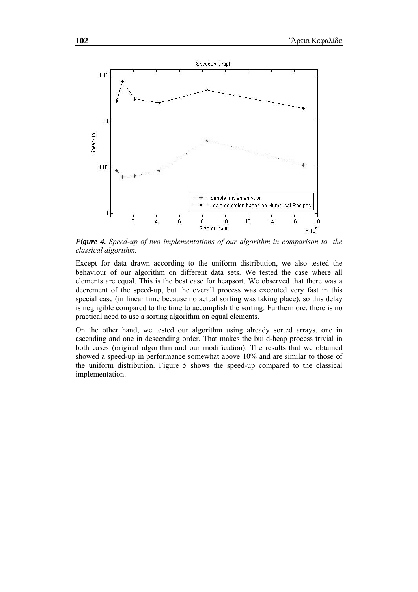

*Figure 4. Speed-up of two implementations of our algorithm in comparison to the classical algorithm.* 

Except for data drawn according to the uniform distribution, we also tested the behaviour of our algorithm on different data sets. We tested the case where all elements are equal. This is the best case for heapsort. We observed that there was a decrement of the speed-up, but the overall process was executed very fast in this special case (in linear time because no actual sorting was taking place), so this delay is negligible compared to the time to accomplish the sorting. Furthermore, there is no practical need to use a sorting algorithm on equal elements.

On the other hand, we tested our algorithm using already sorted arrays, one in ascending and one in descending order. That makes the build-heap process trivial in both cases (original algorithm and our modification). The results that we obtained showed a speed-up in performance somewhat above 10% and are similar to those of the uniform distribution. Figure 5 shows the speed-up compared to the classical implementation.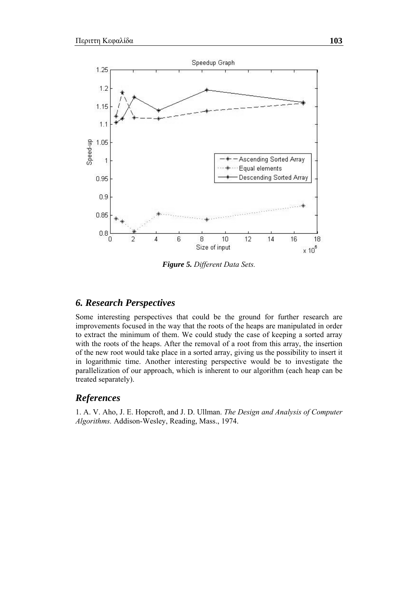

*Figure 5. Different Data Sets.* 

## *6. Research Perspectives*

Some interesting perspectives that could be the ground for further research are improvements focused in the way that the roots of the heaps are manipulated in order to extract the minimum of them. We could study the case of keeping a sorted array with the roots of the heaps. After the removal of a root from this array, the insertion of the new root would take place in a sorted array, giving us the possibility to insert it in logarithmic time. Another interesting perspective would be to investigate the parallelization of our approach, which is inherent to our algorithm (each heap can be treated separately).

## *References*

1. A. V. Aho, J. E. Hopcroft, and J. D. Ullman. *The Design and Analysis of Computer Algorithms.* Addison-Wesley, Reading, Mass., 1974.